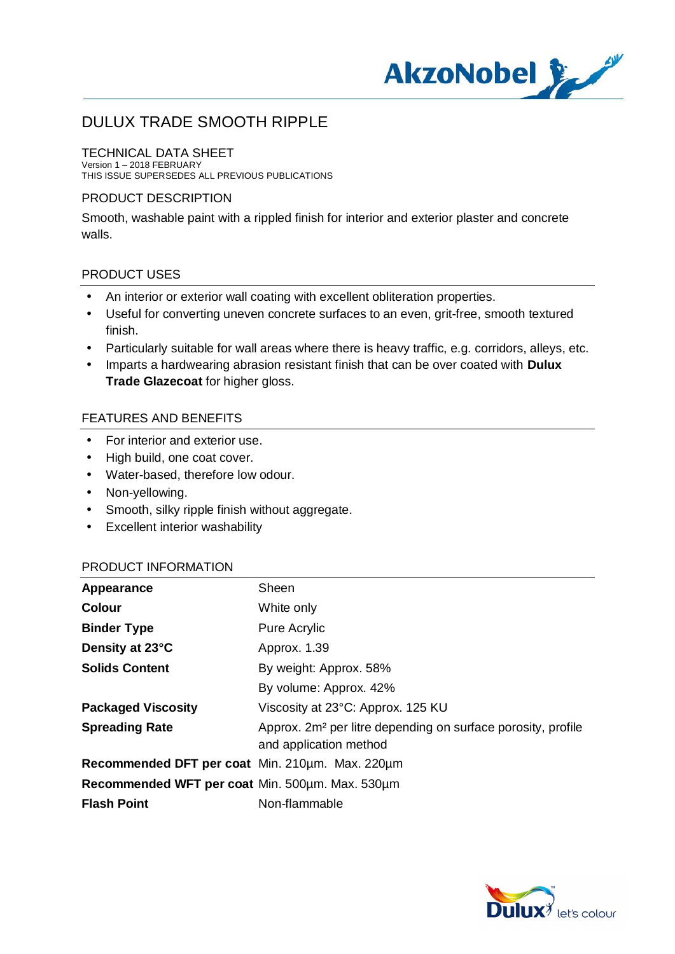

#### TECHNICAL DATA SHEET

Version 1 – 2018 FEBRUARY THIS ISSUE SUPERSEDES ALL PREVIOUS PUBLICATIONS

#### PRODUCT DESCRIPTION

Smooth, washable paint with a rippled finish for interior and exterior plaster and concrete walls.

#### PRODUCT USES

- An interior or exterior wall coating with excellent obliteration properties. J.
- Useful for converting uneven concrete surfaces to an even, grit-free, smooth textured ä, finish.
- Particularly suitable for wall areas where there is heavy traffic, e.g. corridors, alleys, etc.
- Imparts a hardwearing abrasion resistant finish that can be over coated with **Dulux Trade Glazecoat** for higher gloss.

#### FEATURES AND BENEFITS

- For interior and exterior use.
- High build, one coat cover.
- Water-based, therefore low odour.  $\mathbf{r}$
- Non-yellowing.
- Smooth, silky ripple finish without aggregate.
- Excellent interior washability l,

#### PRODUCT INFORMATION

| Appearance                                      | Sheen                                                                                              |
|-------------------------------------------------|----------------------------------------------------------------------------------------------------|
| <b>Colour</b>                                   | White only                                                                                         |
| <b>Binder Type</b>                              | Pure Acrylic                                                                                       |
| Density at 23°C                                 | Approx. 1.39                                                                                       |
| <b>Solids Content</b>                           | By weight: Approx. 58%                                                                             |
|                                                 | By volume: Approx. 42%                                                                             |
| <b>Packaged Viscosity</b>                       | Viscosity at 23°C: Approx. 125 KU                                                                  |
| <b>Spreading Rate</b>                           | Approx. 2m <sup>2</sup> per litre depending on surface porosity, profile<br>and application method |
| Recommended DFT per coat Min. 210um. Max. 220um |                                                                                                    |
| Recommended WFT per coat Min. 500um. Max. 530um |                                                                                                    |
| <b>Flash Point</b>                              | Non-flammable                                                                                      |
|                                                 |                                                                                                    |

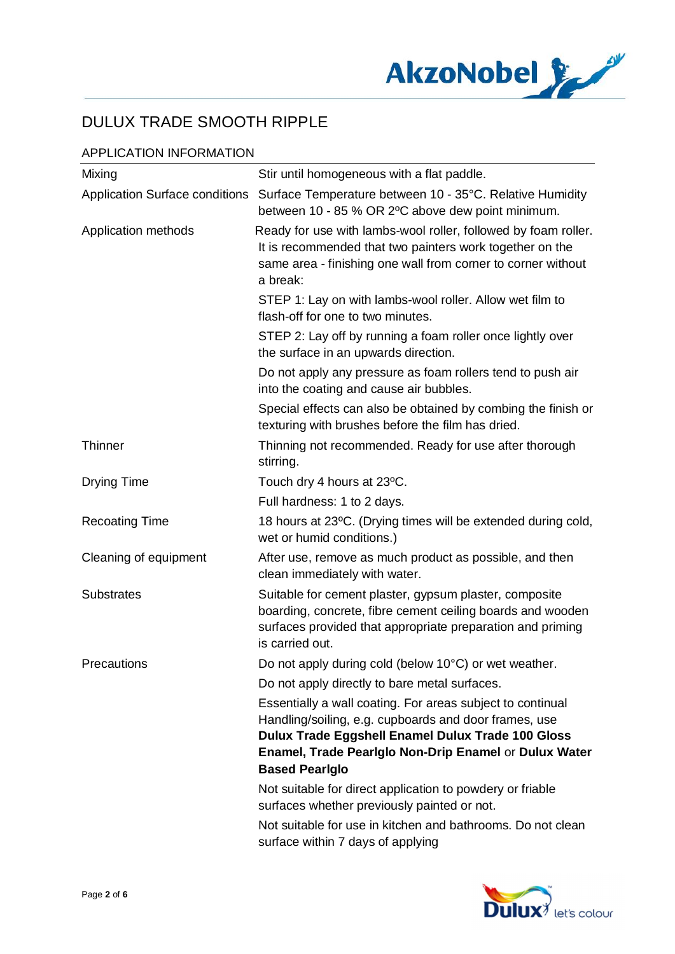

## APPLICATION INFORMATION

| Mixing                                | Stir until homogeneous with a flat paddle.                                                                                                                                                                                                                 |
|---------------------------------------|------------------------------------------------------------------------------------------------------------------------------------------------------------------------------------------------------------------------------------------------------------|
| <b>Application Surface conditions</b> | Surface Temperature between 10 - 35°C. Relative Humidity<br>between 10 - 85 % OR 2°C above dew point minimum.                                                                                                                                              |
| Application methods                   | Ready for use with lambs-wool roller, followed by foam roller.<br>It is recommended that two painters work together on the<br>same area - finishing one wall from corner to corner without<br>a break:                                                     |
|                                       | STEP 1: Lay on with lambs-wool roller. Allow wet film to<br>flash-off for one to two minutes.                                                                                                                                                              |
|                                       | STEP 2: Lay off by running a foam roller once lightly over<br>the surface in an upwards direction.                                                                                                                                                         |
|                                       | Do not apply any pressure as foam rollers tend to push air<br>into the coating and cause air bubbles.                                                                                                                                                      |
|                                       | Special effects can also be obtained by combing the finish or<br>texturing with brushes before the film has dried.                                                                                                                                         |
| <b>Thinner</b>                        | Thinning not recommended. Ready for use after thorough<br>stirring.                                                                                                                                                                                        |
| <b>Drying Time</b>                    | Touch dry 4 hours at 23°C.                                                                                                                                                                                                                                 |
|                                       | Full hardness: 1 to 2 days.                                                                                                                                                                                                                                |
| <b>Recoating Time</b>                 | 18 hours at 23°C. (Drying times will be extended during cold,<br>wet or humid conditions.)                                                                                                                                                                 |
| Cleaning of equipment                 | After use, remove as much product as possible, and then<br>clean immediately with water.                                                                                                                                                                   |
| <b>Substrates</b>                     | Suitable for cement plaster, gypsum plaster, composite<br>boarding, concrete, fibre cement ceiling boards and wooden<br>surfaces provided that appropriate preparation and priming<br>is carried out.                                                      |
| Precautions                           | Do not apply during cold (below 10°C) or wet weather.                                                                                                                                                                                                      |
|                                       | Do not apply directly to bare metal surfaces.                                                                                                                                                                                                              |
|                                       | Essentially a wall coating. For areas subject to continual<br>Handling/soiling, e.g. cupboards and door frames, use<br>Dulux Trade Eggshell Enamel Dulux Trade 100 Gloss<br>Enamel, Trade Pearlglo Non-Drip Enamel or Dulux Water<br><b>Based Pearlglo</b> |
|                                       | Not suitable for direct application to powdery or friable<br>surfaces whether previously painted or not.                                                                                                                                                   |
|                                       | Not suitable for use in kitchen and bathrooms. Do not clean<br>surface within 7 days of applying                                                                                                                                                           |

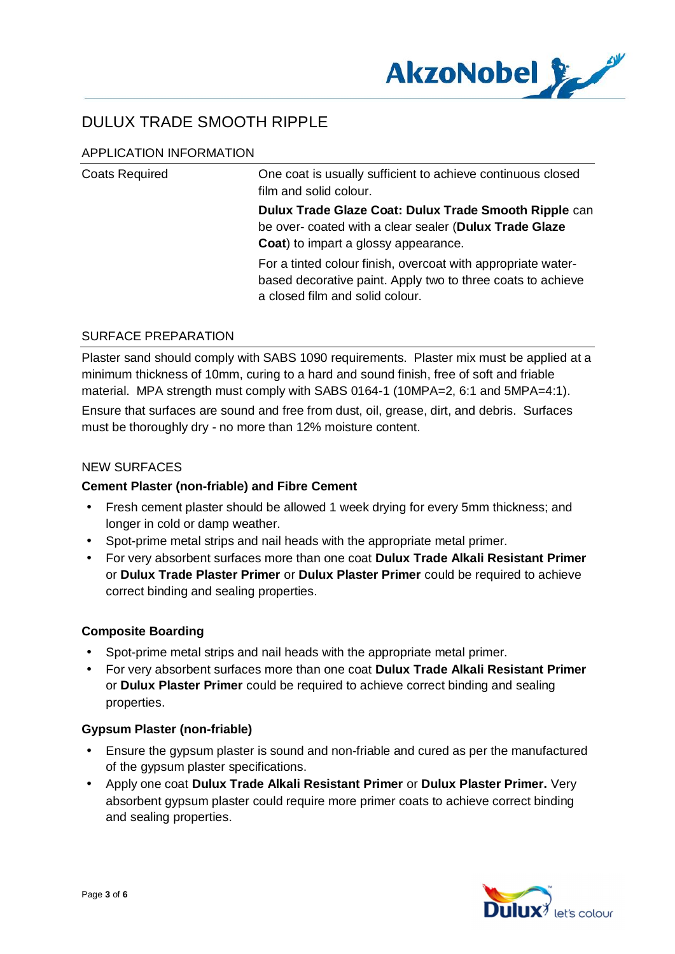

#### APPLICATION INFORMATION

| <b>Coats Required</b> | One coat is usually sufficient to achieve continuous closed<br>film and solid colour.                                                                          |
|-----------------------|----------------------------------------------------------------------------------------------------------------------------------------------------------------|
|                       | Dulux Trade Glaze Coat: Dulux Trade Smooth Ripple can<br>be over- coated with a clear sealer (Dulux Trade Glaze<br>Coat) to impart a glossy appearance.        |
|                       | For a tinted colour finish, overcoat with appropriate water-<br>based decorative paint. Apply two to three coats to achieve<br>a closed film and solid colour. |

#### SURFACE PREPARATION

Plaster sand should comply with SABS 1090 requirements. Plaster mix must be applied at a minimum thickness of 10mm, curing to a hard and sound finish, free of soft and friable material. MPA strength must comply with SABS 0164-1 (10MPA=2, 6:1 and 5MPA=4:1).

Ensure that surfaces are sound and free from dust, oil, grease, dirt, and debris. Surfaces must be thoroughly dry - no more than 12% moisture content.

#### NEW SURFACES

#### **Cement Plaster (non-friable) and Fibre Cement**

- Fresh cement plaster should be allowed 1 week drying for every 5mm thickness; and longer in cold or damp weather.
- Spot-prime metal strips and nail heads with the appropriate metal primer.
- For very absorbent surfaces more than one coat **Dulux Trade Alkali Resistant Primer** or **Dulux Trade Plaster Primer** or **Dulux Plaster Primer** could be required to achieve correct binding and sealing properties.

#### **Composite Boarding**

- Spot-prime metal strips and nail heads with the appropriate metal primer.
- For very absorbent surfaces more than one coat **Dulux Trade Alkali Resistant Primer** or **Dulux Plaster Primer** could be required to achieve correct binding and sealing properties.

#### **Gypsum Plaster (non-friable)**

- Ensure the gypsum plaster is sound and non-friable and cured as per the manufactured of the gypsum plaster specifications.
- Apply one coat **Dulux Trade Alkali Resistant Primer** or **Dulux Plaster Primer.** Very absorbent gypsum plaster could require more primer coats to achieve correct binding and sealing properties.

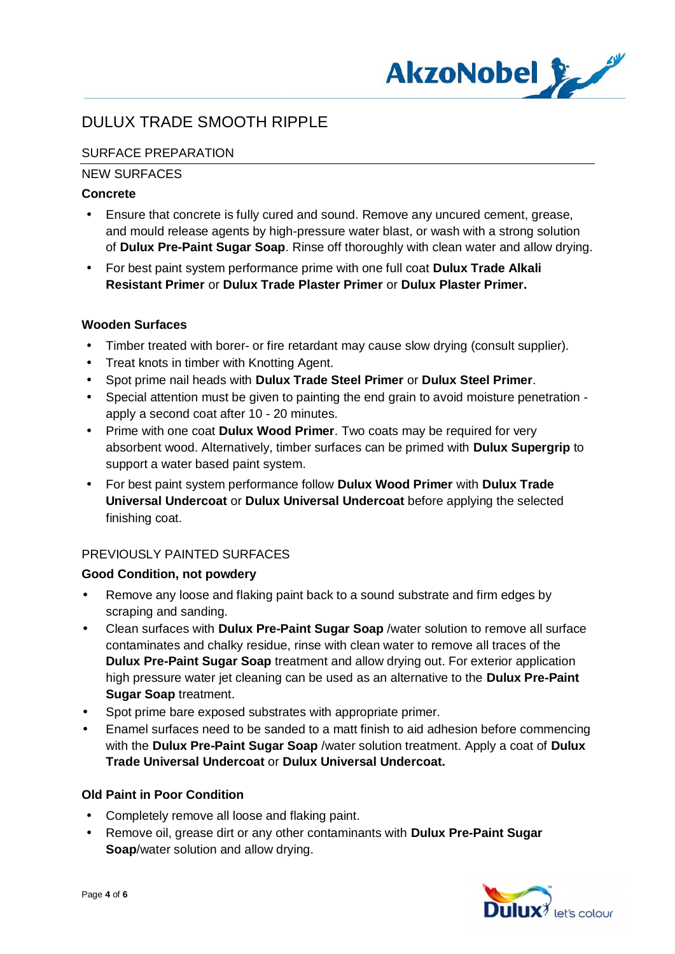

## SURFACE PREPARATION

#### NEW SURFACES

#### **Concrete**

- Ensure that concrete is fully cured and sound. Remove any uncured cement, grease, and mould release agents by high-pressure water blast, or wash with a strong solution of **Dulux Pre-Paint Sugar Soap**. Rinse off thoroughly with clean water and allow drying.
- For best paint system performance prime with one full coat **Dulux Trade Alkali Resistant Primer** or **Dulux Trade Plaster Primer** or **Dulux Plaster Primer.**

#### **Wooden Surfaces**

- Timber treated with borer- or fire retardant may cause slow drying (consult supplier).
- Treat knots in timber with Knotting Agent. t.
- Spot prime nail heads with **Dulux Trade Steel Primer** or **Dulux Steel Primer**.
- Special attention must be given to painting the end grain to avoid moisture penetration apply a second coat after 10 - 20 minutes.
- Prime with one coat **Dulux Wood Primer**. Two coats may be required for very absorbent wood. Alternatively, timber surfaces can be primed with **Dulux Supergrip** to support a water based paint system.
- For best paint system performance follow **Dulux Wood Primer** with **Dulux Trade** ä, **Universal Undercoat** or **Dulux Universal Undercoat** before applying the selected finishing coat.

## PREVIOUSLY PAINTED SURFACES

#### **Good Condition, not powdery**

- Remove any loose and flaking paint back to a sound substrate and firm edges by scraping and sanding.
- Clean surfaces with **Dulux Pre-Paint Sugar Soap** /water solution to remove all surface contaminates and chalky residue, rinse with clean water to remove all traces of the **Dulux Pre-Paint Sugar Soap** treatment and allow drying out. For exterior application high pressure water jet cleaning can be used as an alternative to the **Dulux Pre-Paint Sugar Soap** treatment.
- Spot prime bare exposed substrates with appropriate primer.
- Enamel surfaces need to be sanded to a matt finish to aid adhesion before commencing with the **Dulux Pre-Paint Sugar Soap** /water solution treatment. Apply a coat of **Dulux Trade Universal Undercoat** or **Dulux Universal Undercoat.**

## **Old Paint in Poor Condition**

- Completely remove all loose and flaking paint.
- Remove oil, grease dirt or any other contaminants with **Dulux Pre-Paint Sugar Soap**/water solution and allow drying.

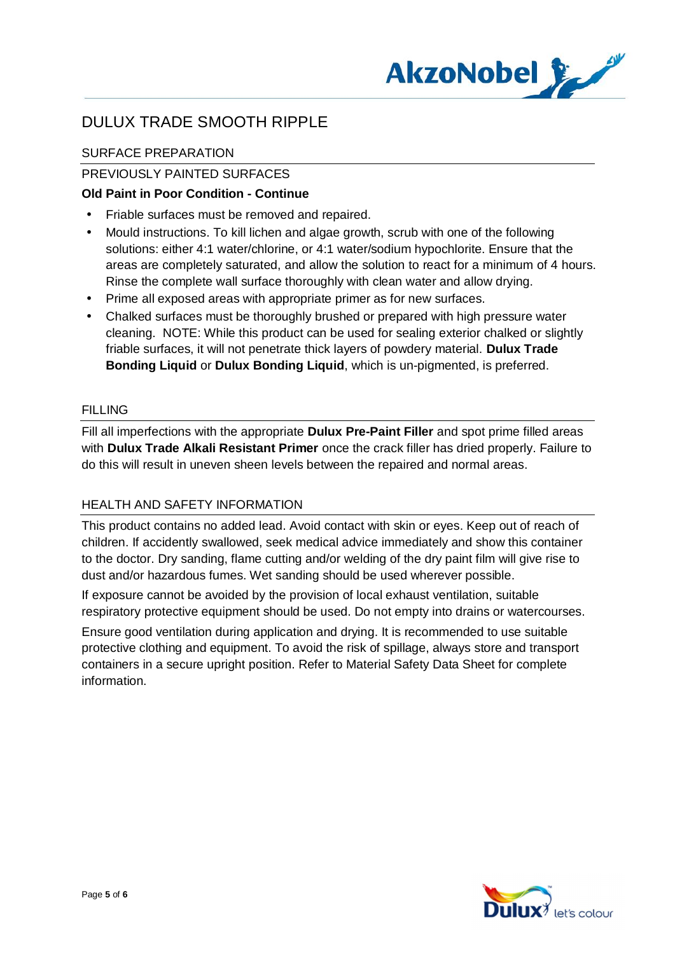

## SURFACE PREPARATION

## PREVIOUSLY PAINTED SURFACES

#### **Old Paint in Poor Condition - Continue**

- Friable surfaces must be removed and repaired.
- Mould instructions. To kill lichen and algae growth, scrub with one of the following solutions: either 4:1 water/chlorine, or 4:1 water/sodium hypochlorite. Ensure that the areas are completely saturated, and allow the solution to react for a minimum of 4 hours. Rinse the complete wall surface thoroughly with clean water and allow drying.
- Prime all exposed areas with appropriate primer as for new surfaces.
- Chalked surfaces must be thoroughly brushed or prepared with high pressure water cleaning. NOTE: While this product can be used for sealing exterior chalked or slightly friable surfaces, it will not penetrate thick layers of powdery material. **Dulux Trade Bonding Liquid** or **Dulux Bonding Liquid**, which is un-pigmented, is preferred.

## FILLING

Fill all imperfections with the appropriate **Dulux Pre-Paint Filler** and spot prime filled areas with **Dulux Trade Alkali Resistant Primer** once the crack filler has dried properly. Failure to do this will result in uneven sheen levels between the repaired and normal areas.

#### HEALTH AND SAFETY INFORMATION

This product contains no added lead. Avoid contact with skin or eyes. Keep out of reach of children. If accidently swallowed, seek medical advice immediately and show this container to the doctor. Dry sanding, flame cutting and/or welding of the dry paint film will give rise to dust and/or hazardous fumes. Wet sanding should be used wherever possible.

If exposure cannot be avoided by the provision of local exhaust ventilation, suitable respiratory protective equipment should be used. Do not empty into drains or watercourses.

Ensure good ventilation during application and drying. It is recommended to use suitable protective clothing and equipment. To avoid the risk of spillage, always store and transport containers in a secure upright position. Refer to Material Safety Data Sheet for complete information.